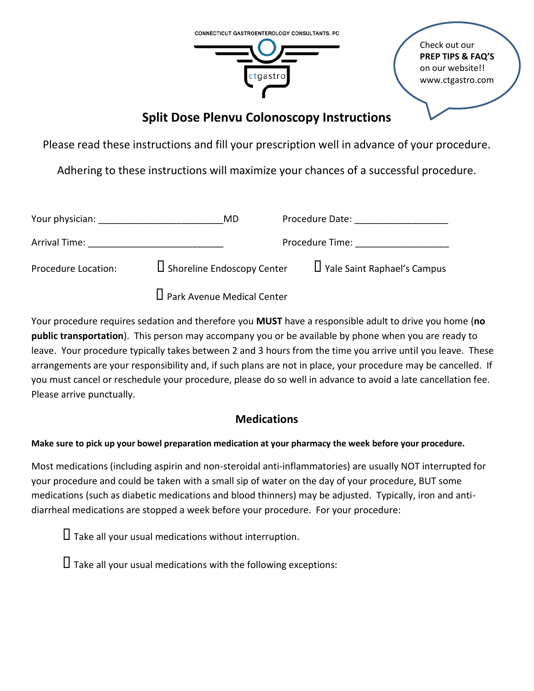

Check out our **PREP TIPS & FAQ'S** on our website!! www.ctgastro.com

# **Split Dose Plenvu Colonoscopy Instructions**

Please read these instructions and fill your prescription well in advance of your procedure.

Adhering to these instructions will maximize your chances of a successful procedure.

| Your physician:     | MD                                | Procedure Date:                    |
|---------------------|-----------------------------------|------------------------------------|
| Arrival Time:       |                                   | Procedure Time:                    |
| Procedure Location: | $\Box$ Shoreline Endoscopy Center | $\Box$ Yale Saint Raphael's Campus |
|                     | $\Box$ Park Avenue Medical Center |                                    |

Your procedure requires sedation and therefore you **MUST** have a responsible adult to drive you home (**no public transportation**). This person may accompany you or be available by phone when you are ready to leave. Your procedure typically takes between 2 and 3 hours from the time you arrive until you leave. These arrangements are your responsibility and, if such plans are not in place, your procedure may be cancelled. If you must cancel or reschedule your procedure, please do so well in advance to avoid a late cancellation fee. Please arrive punctually.

# **Medications**

**Make sure to pick up your bowel preparation medication at your pharmacy the week before your procedure.**

Most medications (including aspirin and non-steroidal anti-inflammatories) are usually NOT interrupted for your procedure and could be taken with a small sip of water on the day of your procedure, BUT some medications (such as diabetic medications and blood thinners) may be adjusted. Typically, iron and antidiarrheal medications are stopped a week before your procedure. For your procedure:

 $\Box$  Take all your usual medications without interruption.

 $\Box$  Take all your usual medications with the following exceptions: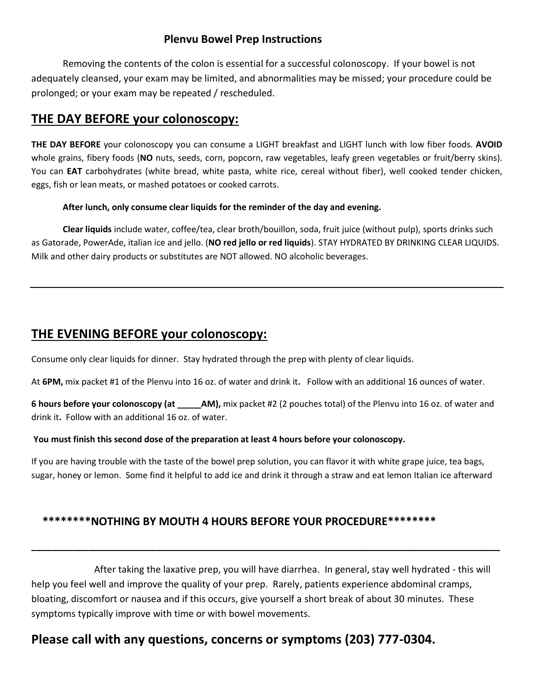### **Plenvu Bowel Prep Instructions**

Removing the contents of the colon is essential for a successful colonoscopy. If your bowel is not adequately cleansed, your exam may be limited, and abnormalities may be missed; your procedure could be prolonged; or your exam may be repeated / rescheduled.

## **THE DAY BEFORE your colonoscopy:**

**THE DAY BEFORE** your colonoscopy you can consume a LIGHT breakfast and LIGHT lunch with low fiber foods. **AVOID** whole grains, fibery foods (**NO** nuts, seeds, corn, popcorn, raw vegetables, leafy green vegetables or fruit/berry skins). You can **EAT** carbohydrates (white bread, white pasta, white rice, cereal without fiber), well cooked tender chicken, eggs, fish or lean meats, or mashed potatoes or cooked carrots.

#### **After lunch, only consume clear liquids for the reminder of the day and evening.**

**Clear liquids** include water, coffee/tea, clear broth/bouillon, soda, fruit juice (without pulp), sports drinks such as Gatorade, PowerAde, italian ice and jello. (**NO red jello or red liquids**). STAY HYDRATED BY DRINKING CLEAR LIQUIDS. Milk and other dairy products or substitutes are NOT allowed. NO alcoholic beverages.

## **THE EVENING BEFORE your colonoscopy:**

Consume only clear liquids for dinner. Stay hydrated through the prep with plenty of clear liquids.

At **6PM,** mix packet #1 of the Plenvu into 16 oz. of water and drink it**.** Follow with an additional 16 ounces of water.

**6 hours before your colonoscopy (at \_\_\_\_\_AM),** mix packet #2 (2 pouches total) of the Plenvu into 16 oz. of water and drink it**.** Follow with an additional 16 oz. of water.

#### **You must finish this second dose of the preparation at least 4 hours before your colonoscopy.**

If you are having trouble with the taste of the bowel prep solution, you can flavor it with white grape juice, tea bags, sugar, honey or lemon. Some find it helpful to add ice and drink it through a straw and eat lemon Italian ice afterward

### **\*\*\*\*\*\*\*\*NOTHING BY MOUTH 4 HOURS BEFORE YOUR PROCEDURE\*\*\*\*\*\*\*\***

After taking the laxative prep, you will have diarrhea. In general, stay well hydrated - this will help you feel well and improve the quality of your prep. Rarely, patients experience abdominal cramps, bloating, discomfort or nausea and if this occurs, give yourself a short break of about 30 minutes. These symptoms typically improve with time or with bowel movements.

**\_\_\_\_\_\_\_\_\_\_\_\_\_\_\_\_\_\_\_\_\_\_\_\_\_\_\_\_\_\_\_\_\_\_\_\_\_\_\_\_\_\_\_\_\_\_\_\_\_\_\_\_\_\_\_\_\_\_\_\_\_\_\_\_\_\_\_\_\_\_\_\_\_\_\_\_\_\_\_\_\_\_\_\_\_\_\_\_\_\_**

# **Please call with any questions, concerns or symptoms (203) 777-0304.**